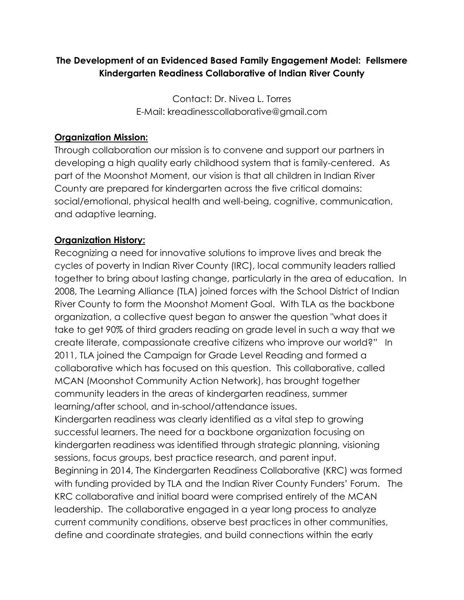# **The Development of an Evidenced Based Family Engagement Model: Fellsmere Kindergarten Readiness Collaborative of Indian River County**

Contact: Dr. Nivea L. Torres E-Mail: kreadinesscollaborative@gmail.com

#### **Organization Mission:**

Through collaboration our mission is to convene and support our partners in developing a high quality early childhood system that is family-centered. As part of the Moonshot Moment, our vision is that all children in Indian River County are prepared for kindergarten across the five critical domains: social/emotional, physical health and well-being, cognitive, communication, and adaptive learning.

### **Organization History:**

Recognizing a need for innovative solutions to improve lives and break the cycles of poverty in Indian River County (IRC), local community leaders rallied together to bring about lasting change, particularly in the area of education. In 2008, The Learning Alliance (TLA) joined forces with the School District of Indian River County to form the Moonshot Moment Goal. With TLA as the backbone organization, a collective quest began to answer the question "what does it take to get 90% of third graders reading on grade level in such a way that we create literate, compassionate creative citizens who improve our world?" In 2011, TLA joined the Campaign for Grade Level Reading and formed a collaborative which has focused on this question. This collaborative, called MCAN (Moonshot Community Action Network), has brought together community leaders in the areas of kindergarten readiness, summer learning/after school, and in-school/attendance issues. Kindergarten readiness was clearly identified as a vital step to growing successful learners. The need for a backbone organization focusing on kindergarten readiness was identified through strategic planning, visioning sessions, focus groups, best practice research, and parent input. Beginning in 2014, The Kindergarten Readiness Collaborative (KRC) was formed with funding provided by TLA and the Indian River County Funders' Forum. The

KRC collaborative and initial board were comprised entirely of the MCAN leadership. The collaborative engaged in a year long process to analyze current community conditions, observe best practices in other communities, define and coordinate strategies, and build connections within the early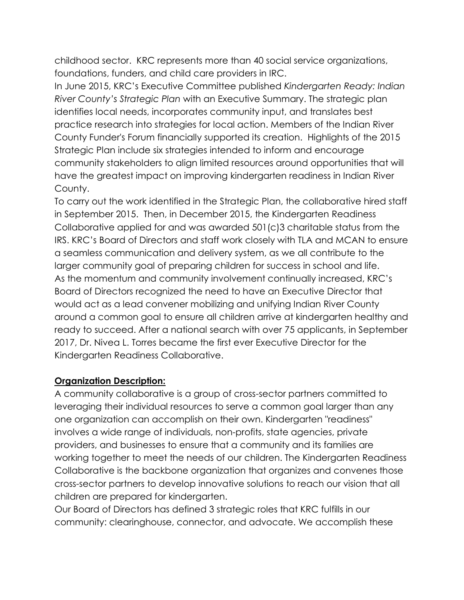childhood sector. KRC represents more than 40 social service organizations, foundations, funders, and child care providers in IRC.

In June 2015, KRC's Executive Committee published *Kindergarten Ready: Indian River County's Strategic Plan* with an Executive Summary. The strategic plan identifies local needs, incorporates community input, and translates best practice research into strategies for local action. Members of the Indian River County Funder's Forum financially supported its creation. Highlights of the 2015 Strategic Plan include six strategies intended to inform and encourage community stakeholders to align limited resources around opportunities that will have the greatest impact on improving kindergarten readiness in Indian River County.

To carry out the work identified in the Strategic Plan, the collaborative hired staff in September 2015. Then, in December 2015, the Kindergarten Readiness Collaborative applied for and was awarded 501(c)3 charitable status from the IRS. KRC's Board of Directors and staff work closely with TLA and MCAN to ensure a seamless communication and delivery system, as we all contribute to the larger community goal of preparing children for success in school and life. As the momentum and community involvement continually increased, KRC's Board of Directors recognized the need to have an Executive Director that would act as a lead convener mobilizing and unifying Indian River County around a common goal to ensure all children arrive at kindergarten healthy and ready to succeed. After a national search with over 75 applicants, in September 2017, Dr. Nivea L. Torres became the first ever Executive Director for the Kindergarten Readiness Collaborative.

### **Organization Description:**

A community collaborative is a group of cross-sector partners committed to leveraging their individual resources to serve a common goal larger than any one organization can accomplish on their own. Kindergarten "readiness" involves a wide range of individuals, non-profits, state agencies, private providers, and businesses to ensure that a community and its families are working together to meet the needs of our children. The Kindergarten Readiness Collaborative is the backbone organization that organizes and convenes those cross-sector partners to develop innovative solutions to reach our vision that all children are prepared for kindergarten.

Our Board of Directors has defined 3 strategic roles that KRC fulfills in our community: clearinghouse, connector, and advocate. We accomplish these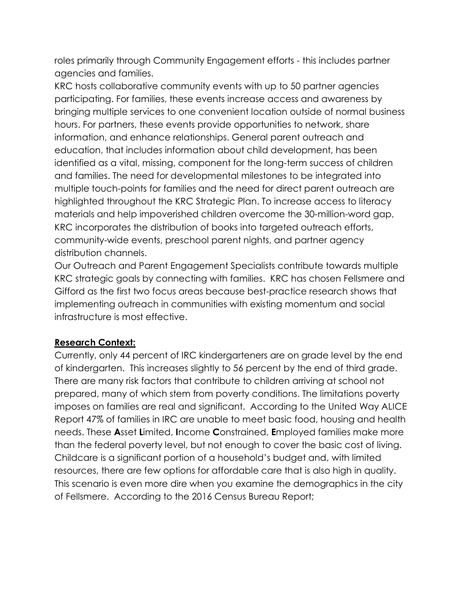roles primarily through Community Engagement efforts - this includes partner agencies and families.

KRC hosts collaborative community events with up to 50 partner agencies participating. For families, these events increase access and awareness by bringing multiple services to one convenient location outside of normal business hours. For partners, these events provide opportunities to network, share information, and enhance relationships. General parent outreach and education, that includes information about child development, has been identified as a vital, missing, component for the long-term success of children and families. The need for developmental milestones to be integrated into multiple touch-points for families and the need for direct parent outreach are highlighted throughout the KRC Strategic Plan. To increase access to literacy materials and help impoverished children overcome the 30-million-word gap, KRC incorporates the distribution of books into targeted outreach efforts, community-wide events, preschool parent nights, and partner agency distribution channels.

Our Outreach and Parent Engagement Specialists contribute towards multiple KRC strategic goals by connecting with families. KRC has chosen Fellsmere and Gifford as the first two focus areas because best-practice research shows that implementing outreach in communities with existing momentum and social infrastructure is most effective.

### **Research Context:**

Currently, only 44 percent of IRC kindergarteners are on grade level by the end of kindergarten. This increases slightly to 56 percent by the end of third grade. There are many risk factors that contribute to children arriving at school not prepared, many of which stem from poverty conditions. The limitations poverty imposes on families are real and significant. According to the United Way ALICE Report 47% of families in IRC are unable to meet basic food, housing and health needs. These **A**sset **L**imited, **I**ncome **C**onstrained, **E**mployed families make more than the federal poverty level, but not enough to cover the basic cost of living. Childcare is a significant portion of a household's budget and, with limited resources, there are few options for affordable care that is also high in quality. This scenario is even more dire when you examine the demographics in the city of Fellsmere. According to the 2016 Census Bureau Report;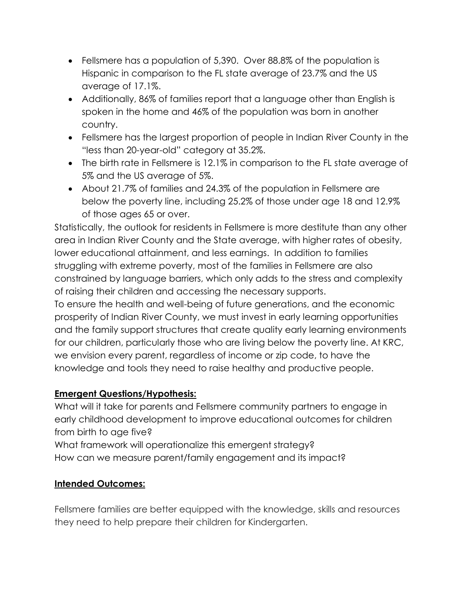- Fellsmere has a population of 5,390. Over 88.8% of the population is Hispanic in comparison to the FL state average of 23.7% and the US average of 17.1%.
- Additionally, 86% of families report that a language other than English is spoken in the home and 46% of the population was born in another country.
- Fellsmere has the largest proportion of people in Indian River County in the "less than 20-year-old" category at 35.2%.
- The birth rate in Fellsmere is 12.1% in comparison to the FL state average of 5% and the US average of 5%.
- About 21.7% of families and 24.3% of the population in Fellsmere are below the poverty line, including 25.2% of those under age 18 and 12.9% of those ages 65 or over.

Statistically, the outlook for residents in Fellsmere is more destitute than any other area in Indian River County and the State average, with higher rates of obesity, lower educational attainment, and less earnings. In addition to families struggling with extreme poverty, most of the families in Fellsmere are also constrained by language barriers, which only adds to the stress and complexity of raising their children and accessing the necessary supports.

To ensure the health and well-being of future generations, and the economic prosperity of Indian River County, we must invest in early learning opportunities and the family support structures that create quality early learning environments for our children, particularly those who are living below the poverty line. At KRC, we envision every parent, regardless of income or zip code, to have the knowledge and tools they need to raise healthy and productive people.

### **Emergent Questions/Hypothesis:**

What will it take for parents and Fellsmere community partners to engage in early childhood development to improve educational outcomes for children from birth to age five?

What framework will operationalize this emergent strategy? How can we measure parent/family engagement and its impact?

# **Intended Outcomes:**

Fellsmere families are better equipped with the knowledge, skills and resources they need to help prepare their children for Kindergarten.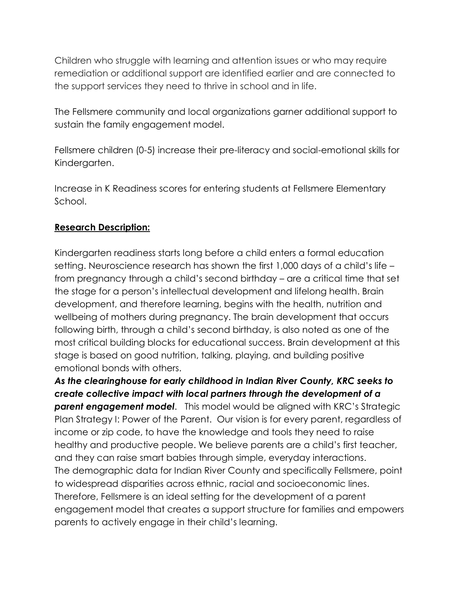Children who struggle with learning and attention issues or who may require remediation or additional support are identified earlier and are connected to the support services they need to thrive in school and in life.

The Fellsmere community and local organizations garner additional support to sustain the family engagement model.

Fellsmere children (0-5) increase their pre-literacy and social-emotional skills for Kindergarten.

Increase in K Readiness scores for entering students at Fellsmere Elementary School.

### **Research Description:**

Kindergarten readiness starts long before a child enters a formal education setting. Neuroscience research has shown the first 1,000 days of a child's life – from pregnancy through a child's second birthday – are a critical time that set the stage for a person's intellectual development and lifelong health. Brain development, and therefore learning, begins with the health, nutrition and wellbeing of mothers during pregnancy. The brain development that occurs following birth, through a child's second birthday, is also noted as one of the most critical building blocks for educational success. Brain development at this stage is based on good nutrition, talking, playing, and building positive emotional bonds with others.

*As the clearinghouse for early childhood in Indian River County, KRC seeks to create collective impact with local partners through the development of a*  **parent engagement model**. This model would be aligned with KRC's Strategic Plan Strategy I: Power of the Parent. Our vision is for every parent, regardless of income or zip code, to have the knowledge and tools they need to raise healthy and productive people. We believe parents are a child's first teacher, and they can raise smart babies through simple, everyday interactions. The demographic data for Indian River County and specifically Fellsmere, point to widespread disparities across ethnic, racial and socioeconomic lines. Therefore, Fellsmere is an ideal setting for the development of a parent engagement model that creates a support structure for families and empowers parents to actively engage in their child's learning.